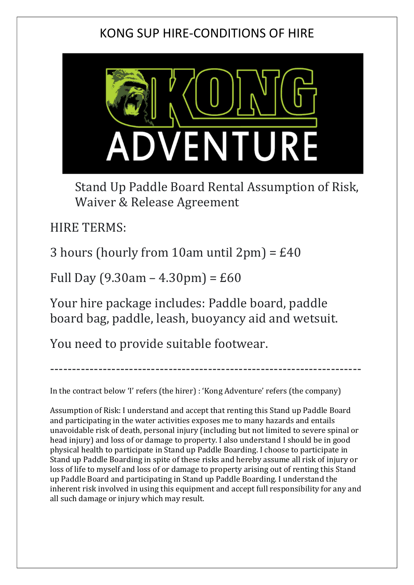## KONG SUP HIRE-CONDITIONS OF HIRE



Stand Up Paddle Board Rental Assumption of Risk, Waiver & Release Agreement

HIRE TERMS:

3 hours (hourly from 10am until 2pm) =  $£40$ 

Full Day  $(9.30am - 4.30pm) = £60$ 

Your hire package includes: Paddle board, paddle board bag, paddle, leash, buoyancy aid and wetsuit.

You need to provide suitable footwear.

In the contract below 'I' refers (the hirer) : 'Kong Adventure' refers (the company)

-----------------------------------------------------------------------

Assumption of Risk: I understand and accept that renting this Stand up Paddle Board and participating in the water activities exposes me to many hazards and entails unavoidable risk of death, personal injury (including but not limited to severe spinal or head injury) and loss of or damage to property. I also understand I should be in good physical health to participate in Stand up Paddle Boarding. I choose to participate in Stand up Paddle Boarding in spite of these risks and hereby assume all risk of injury or loss of life to myself and loss of or damage to property arising out of renting this Stand up Paddle Board and participating in Stand up Paddle Boarding. I understand the inherent risk involved in using this equipment and accept full responsibility for any and all such damage or injury which may result.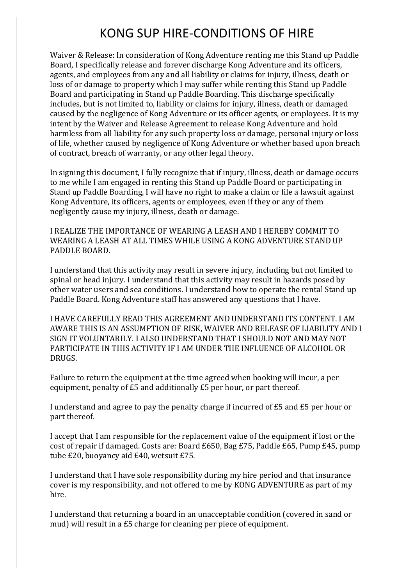## KONG SUP HIRE-CONDITIONS OF HIRE

Waiver & Release: In consideration of Kong Adventure renting me this Stand up Paddle Board, I specifically release and forever discharge Kong Adventure and its officers, agents, and employees from any and all liability or claims for injury, illness, death or loss of or damage to property which I may suffer while renting this Stand up Paddle Board and participating in Stand up Paddle Boarding. This discharge specifically includes, but is not limited to, liability or claims for injury, illness, death or damaged caused by the negligence of Kong Adventure or its officer agents, or employees. It is my intent by the Waiver and Release Agreement to release Kong Adventure and hold harmless from all liability for any such property loss or damage, personal injury or loss of life, whether caused by negligence of Kong Adventure or whether based upon breach of contract, breach of warranty, or any other legal theory.

In signing this document, I fully recognize that if injury, illness, death or damage occurs to me while I am engaged in renting this Stand up Paddle Board or participating in Stand up Paddle Boarding, I will have no right to make a claim or file a lawsuit against Kong Adventure, its officers, agents or employees, even if they or any of them negligently cause my injury, illness, death or damage.

I REALIZE THE IMPORTANCE OF WEARING A LEASH AND I HEREBY COMMIT TO WEARING A LEASH AT ALL TIMES WHILE USING A KONG ADVENTURE STAND UP PADDLE BOARD.

I understand that this activity may result in severe injury, including but not limited to spinal or head injury. I understand that this activity may result in hazards posed by other water users and sea conditions. I understand how to operate the rental Stand up Paddle Board. Kong Adventure staff has answered any questions that I have.

I HAVE CAREFULLY READ THIS AGREEMENT AND UNDERSTAND ITS CONTENT. I AM AWARE THIS IS AN ASSUMPTION OF RISK, WAIVER AND RELEASE OF LIABILITY AND I SIGN IT VOLUNTARILY. I ALSO UNDERSTAND THAT I SHOULD NOT AND MAY NOT PARTICIPATE IN THIS ACTIVITY IF I AM UNDER THE INFLUENCE OF ALCOHOL OR DRUGS.

Failure to return the equipment at the time agreed when booking will incur, a per equipment, penalty of £5 and additionally £5 per hour, or part thereof.

I understand and agree to pay the penalty charge if incurred of £5 and £5 per hour or part thereof.

I accept that I am responsible for the replacement value of the equipment if lost or the cost of repair if damaged. Costs are: Board £650, Bag £75, Paddle £65, Pump £45, pump tube £20, buoyancy aid £40, wetsuit £75.

I understand that I have sole responsibility during my hire period and that insurance cover is my responsibility, and not offered to me by KONG ADVENTURE as part of my hire.

I understand that returning a board in an unacceptable condition (covered in sand or mud) will result in a £5 charge for cleaning per piece of equipment.